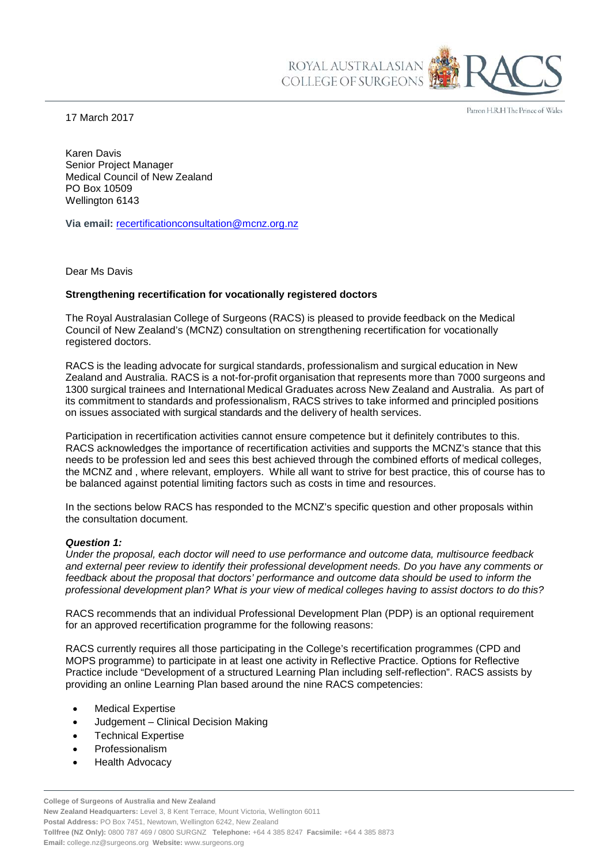17 March 2017

Patron H.R.H The Prince of Wales

Karen Davis Senior Project Manager Medical Council of New Zealand PO Box 10509 Wellington 6143

**Via email:** [recertificationconsultation@mcnz.org.nz](mailto:recertificationconsultation@mcnz.org.nz)

Dear Ms Davis

## **Strengthening recertification for vocationally registered doctors**

The Royal Australasian College of Surgeons (RACS) is pleased to provide feedback on the Medical Council of New Zealand's (MCNZ) consultation on strengthening recertification for vocationally registered doctors.

RACS is the leading advocate for surgical standards, professionalism and surgical education in New Zealand and Australia. RACS is a not-for-profit organisation that represents more than 7000 surgeons and 1300 surgical trainees and International Medical Graduates across New Zealand and Australia. As part of its commitment to standards and professionalism, RACS strives to take informed and principled positions on issues associated with surgical standards and the delivery of health services.

ROYAL AUSTRALASIAN COLLEGE OF SURGEONS

Participation in recertification activities cannot ensure competence but it definitely contributes to this. RACS acknowledges the importance of recertification activities and supports the MCNZ's stance that this needs to be profession led and sees this best achieved through the combined efforts of medical colleges, the MCNZ and , where relevant, employers. While all want to strive for best practice, this of course has to be balanced against potential limiting factors such as costs in time and resources.

In the sections below RACS has responded to the MCNZ's specific question and other proposals within the consultation document.

## *Question 1:*

*Under the proposal, each doctor will need to use performance and outcome data, multisource feedback and external peer review to identify their professional development needs. Do you have any comments or feedback about the proposal that doctors' performance and outcome data should be used to inform the professional development plan? What is your view of medical colleges having to assist doctors to do this?*

RACS recommends that an individual Professional Development Plan (PDP) is an optional requirement for an approved recertification programme for the following reasons:

RACS currently requires all those participating in the College's recertification programmes (CPD and MOPS programme) to participate in at least one activity in Reflective Practice. Options for Reflective Practice include "Development of a structured Learning Plan including self-reflection". RACS assists by providing an online Learning Plan based around the nine RACS competencies:

- Medical Expertise
- Judgement Clinical Decision Making
- Technical Expertise
- **Professionalism**
- Health Advocacy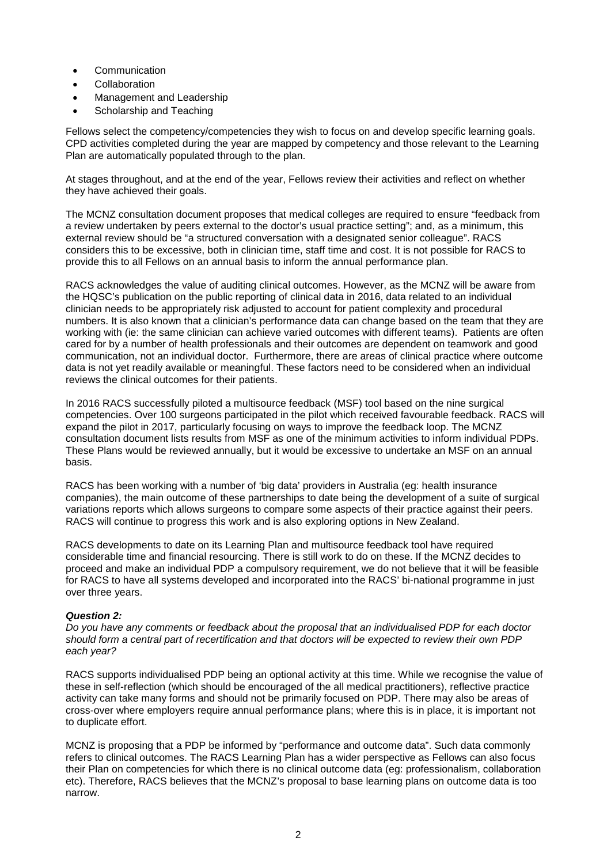- **Communication**
- **Collaboration**
- Management and Leadership
- Scholarship and Teaching

Fellows select the competency/competencies they wish to focus on and develop specific learning goals. CPD activities completed during the year are mapped by competency and those relevant to the Learning Plan are automatically populated through to the plan.

At stages throughout, and at the end of the year, Fellows review their activities and reflect on whether they have achieved their goals.

The MCNZ consultation document proposes that medical colleges are required to ensure "feedback from a review undertaken by peers external to the doctor's usual practice setting"; and, as a minimum, this external review should be "a structured conversation with a designated senior colleague". RACS considers this to be excessive, both in clinician time, staff time and cost. It is not possible for RACS to provide this to all Fellows on an annual basis to inform the annual performance plan.

RACS acknowledges the value of auditing clinical outcomes. However, as the MCNZ will be aware from the HQSC's publication on the public reporting of clinical data in 2016, data related to an individual clinician needs to be appropriately risk adjusted to account for patient complexity and procedural numbers. It is also known that a clinician's performance data can change based on the team that they are working with (ie: the same clinician can achieve varied outcomes with different teams). Patients are often cared for by a number of health professionals and their outcomes are dependent on teamwork and good communication, not an individual doctor. Furthermore, there are areas of clinical practice where outcome data is not yet readily available or meaningful. These factors need to be considered when an individual reviews the clinical outcomes for their patients.

In 2016 RACS successfully piloted a multisource feedback (MSF) tool based on the nine surgical competencies. Over 100 surgeons participated in the pilot which received favourable feedback. RACS will expand the pilot in 2017, particularly focusing on ways to improve the feedback loop. The MCNZ consultation document lists results from MSF as one of the minimum activities to inform individual PDPs. These Plans would be reviewed annually, but it would be excessive to undertake an MSF on an annual basis.

RACS has been working with a number of 'big data' providers in Australia (eg: health insurance companies), the main outcome of these partnerships to date being the development of a suite of surgical variations reports which allows surgeons to compare some aspects of their practice against their peers. RACS will continue to progress this work and is also exploring options in New Zealand.

RACS developments to date on its Learning Plan and multisource feedback tool have required considerable time and financial resourcing. There is still work to do on these. If the MCNZ decides to proceed and make an individual PDP a compulsory requirement, we do not believe that it will be feasible for RACS to have all systems developed and incorporated into the RACS' bi-national programme in just over three years.

## *Question 2:*

*Do you have any comments or feedback about the proposal that an individualised PDP for each doctor should form a central part of recertification and that doctors will be expected to review their own PDP each year?*

RACS supports individualised PDP being an optional activity at this time. While we recognise the value of these in self-reflection (which should be encouraged of the all medical practitioners), reflective practice activity can take many forms and should not be primarily focused on PDP. There may also be areas of cross-over where employers require annual performance plans; where this is in place, it is important not to duplicate effort.

MCNZ is proposing that a PDP be informed by "performance and outcome data". Such data commonly refers to clinical outcomes. The RACS Learning Plan has a wider perspective as Fellows can also focus their Plan on competencies for which there is no clinical outcome data (eg: professionalism, collaboration etc). Therefore, RACS believes that the MCNZ's proposal to base learning plans on outcome data is too narrow.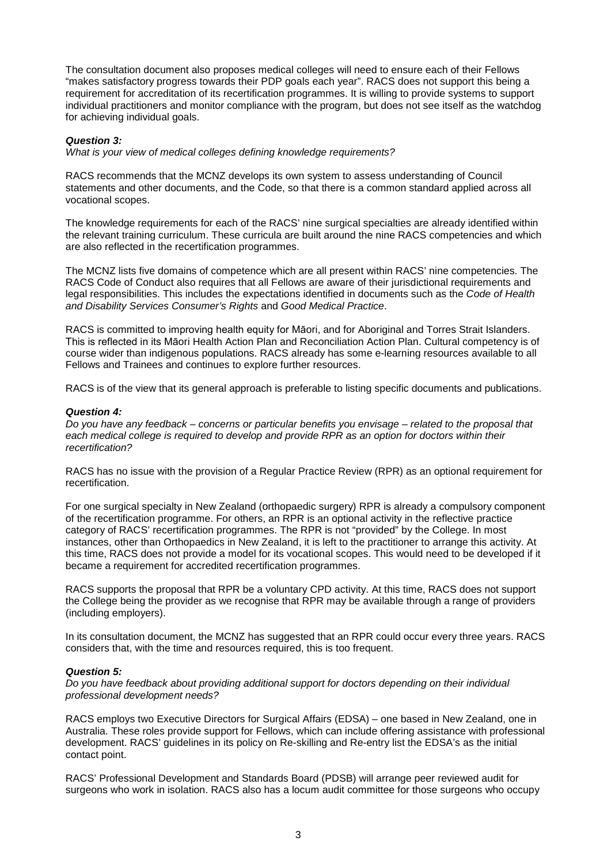The consultation document also proposes medical colleges will need to ensure each of their Fellows "makes satisfactory progress towards their PDP goals each year". RACS does not support this being a requirement for accreditation of its recertification programmes. It is willing to provide systems to support individual practitioners and monitor compliance with the program, but does not see itself as the watchdog for achieving individual goals.

## *Question 3:*

*What is your view of medical colleges defining knowledge requirements?*

RACS recommends that the MCNZ develops its own system to assess understanding of Council statements and other documents, and the Code, so that there is a common standard applied across all vocational scopes.

The knowledge requirements for each of the RACS' nine surgical specialties are already identified within the relevant training curriculum. These curricula are built around the nine RACS competencies and which are also reflected in the recertification programmes.

The MCNZ lists five domains of competence which are all present within RACS' nine competencies. The RACS Code of Conduct also requires that all Fellows are aware of their jurisdictional requirements and legal responsibilities. This includes the expectations identified in documents such as the *Code of Health and Disability Services Consumer's Rights* and *Good Medical Practice*.

RACS is committed to improving health equity for Māori, and for Aboriginal and Torres Strait Islanders. This is reflected in its Māori Health Action Plan and Reconciliation Action Plan. Cultural competency is of course wider than indigenous populations. RACS already has some e-learning resources available to all Fellows and Trainees and continues to explore further resources.

RACS is of the view that its general approach is preferable to listing specific documents and publications.

## *Question 4:*

*Do you have any feedback – concerns or particular benefits you envisage – related to the proposal that each medical college is required to develop and provide RPR as an option for doctors within their recertification?*

RACS has no issue with the provision of a Regular Practice Review (RPR) as an optional requirement for recertification.

For one surgical specialty in New Zealand (orthopaedic surgery) RPR is already a compulsory component of the recertification programme. For others, an RPR is an optional activity in the reflective practice category of RACS' recertification programmes. The RPR is not "provided" by the College. In most instances, other than Orthopaedics in New Zealand, it is left to the practitioner to arrange this activity. At this time, RACS does not provide a model for its vocational scopes. This would need to be developed if it became a requirement for accredited recertification programmes.

RACS supports the proposal that RPR be a voluntary CPD activity. At this time, RACS does not support the College being the provider as we recognise that RPR may be available through a range of providers (including employers).

In its consultation document, the MCNZ has suggested that an RPR could occur every three years. RACS considers that, with the time and resources required, this is too frequent.

## *Question 5:*

*Do you have feedback about providing additional support for doctors depending on their individual professional development needs?*

RACS employs two Executive Directors for Surgical Affairs (EDSA) – one based in New Zealand, one in Australia. These roles provide support for Fellows, which can include offering assistance with professional development. RACS' guidelines in its policy on Re-skilling and Re-entry list the EDSA's as the initial contact point.

RACS' Professional Development and Standards Board (PDSB) will arrange peer reviewed audit for surgeons who work in isolation. RACS also has a locum audit committee for those surgeons who occupy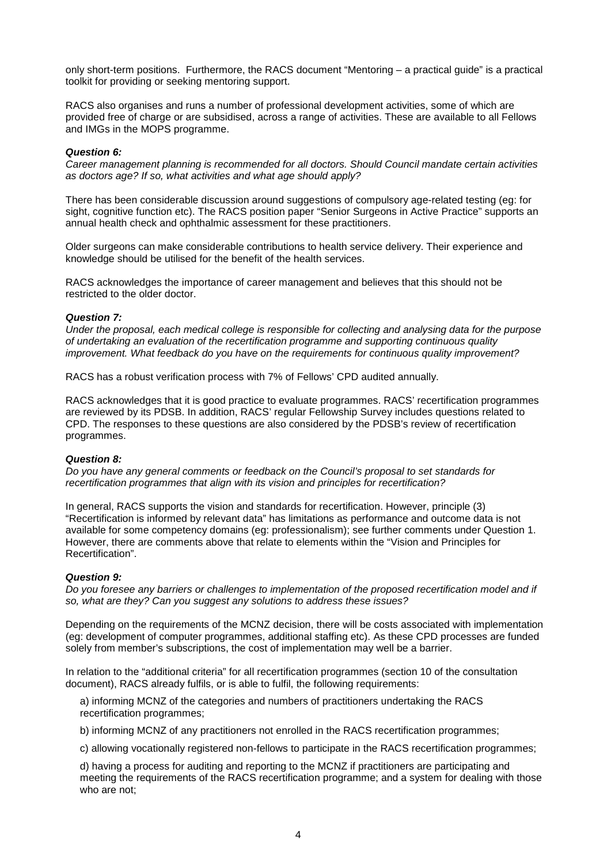only short-term positions. Furthermore, the RACS document "Mentoring – a practical guide" is a practical toolkit for providing or seeking mentoring support.

RACS also organises and runs a number of professional development activities, some of which are provided free of charge or are subsidised, across a range of activities. These are available to all Fellows and IMGs in the MOPS programme.

# *Question 6:*

*Career management planning is recommended for all doctors. Should Council mandate certain activities as doctors age? If so, what activities and what age should apply?*

There has been considerable discussion around suggestions of compulsory age-related testing (eg: for sight, cognitive function etc). The RACS position paper "Senior Surgeons in Active Practice" supports an annual health check and ophthalmic assessment for these practitioners.

Older surgeons can make considerable contributions to health service delivery. Their experience and knowledge should be utilised for the benefit of the health services.

RACS acknowledges the importance of career management and believes that this should not be restricted to the older doctor.

## *Question 7:*

*Under the proposal, each medical college is responsible for collecting and analysing data for the purpose of undertaking an evaluation of the recertification programme and supporting continuous quality improvement. What feedback do you have on the requirements for continuous quality improvement?*

RACS has a robust verification process with 7% of Fellows' CPD audited annually.

RACS acknowledges that it is good practice to evaluate programmes. RACS' recertification programmes are reviewed by its PDSB. In addition, RACS' regular Fellowship Survey includes questions related to CPD. The responses to these questions are also considered by the PDSB's review of recertification programmes.

## *Question 8:*

*Do you have any general comments or feedback on the Council's proposal to set standards for recertification programmes that align with its vision and principles for recertification?*

In general, RACS supports the vision and standards for recertification. However, principle (3) "Recertification is informed by relevant data" has limitations as performance and outcome data is not available for some competency domains (eg: professionalism); see further comments under Question 1. However, there are comments above that relate to elements within the "Vision and Principles for Recertification".

#### *Question 9:*

*Do you foresee any barriers or challenges to implementation of the proposed recertification model and if so, what are they? Can you suggest any solutions to address these issues?*

Depending on the requirements of the MCNZ decision, there will be costs associated with implementation (eg: development of computer programmes, additional staffing etc). As these CPD processes are funded solely from member's subscriptions, the cost of implementation may well be a barrier.

In relation to the "additional criteria" for all recertification programmes (section 10 of the consultation document), RACS already fulfils, or is able to fulfil, the following requirements:

a) informing MCNZ of the categories and numbers of practitioners undertaking the RACS recertification programmes;

b) informing MCNZ of any practitioners not enrolled in the RACS recertification programmes;

c) allowing vocationally registered non-fellows to participate in the RACS recertification programmes;

d) having a process for auditing and reporting to the MCNZ if practitioners are participating and meeting the requirements of the RACS recertification programme; and a system for dealing with those who are not;